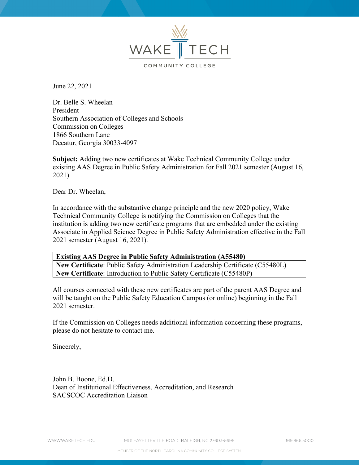

June 22, 2021

Dr. Belle S. Wheelan President Southern Association of Colleges and Schools Commission on Colleges 1866 Southern Lane Decatur, Georgia 30033-4097

**Subject:** Adding two new certificates at Wake Technical Community College under existing AAS Degree in Public Safety Administration for Fall 2021 semester (August 16, 2021).

Dear Dr. Wheelan,

In accordance with the substantive change principle and the new 2020 policy, Wake Technical Community College is notifying the Commission on Colleges that the institution is adding two new certificate programs that are embedded under the existing Associate in Applied Science Degree in Public Safety Administration effective in the Fall 2021 semester (August 16, 2021).

| <b>Existing AAS Degree in Public Safety Administration (A55480)</b>            |
|--------------------------------------------------------------------------------|
| New Certificate: Public Safety Administration Leadership Certificate (C55480L) |
| New Certificate: Introduction to Public Safety Certificate (C55480P)           |

All courses connected with these new certificates are part of the parent AAS Degree and will be taught on the Public Safety Education Campus (or online) beginning in the Fall 2021 semester.

If the Commission on Colleges needs additional information concerning these programs, please do not hesitate to contact me.

Sincerely,

John B. Boone, Ed.D. Dean of Institutional Effectiveness, Accreditation, and Research SACSCOC Accreditation Liaison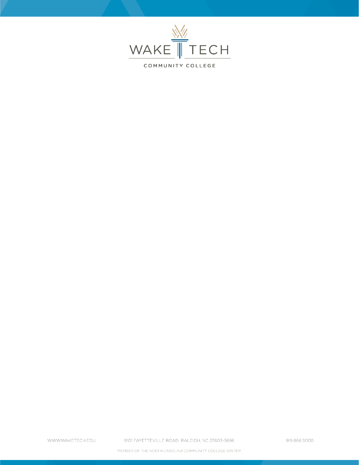

919.866.5000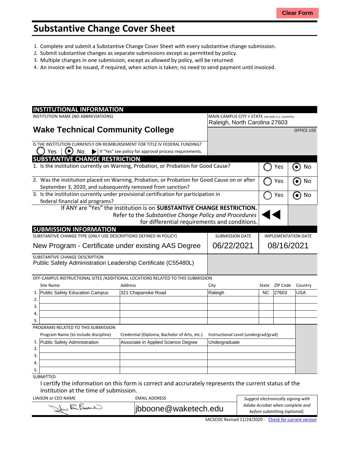## **Substantive Change Cover Sheet**

- 1. Complete and submit a Substantive Change Cover Sheet with every substantive change submission.
- 2. Submit substantive changes as separate submissions except as permitted by policy.
- 3. Multiple changes in one submission, except as allowed by policy, will be returned.
- 4. An invoice will be issued, if required, when action is taken; no need to send payment until invoiced.

| <b>INSTITUTIONAL INFORMATION</b>                                                                                                                                                                                                                   |                                                                                              |                                                                                 |                            |          |                   |
|----------------------------------------------------------------------------------------------------------------------------------------------------------------------------------------------------------------------------------------------------|----------------------------------------------------------------------------------------------|---------------------------------------------------------------------------------|----------------------------|----------|-------------------|
| INSTITUTION NAME (NO ABBREVIATIONS)                                                                                                                                                                                                                |                                                                                              | MAIN CAMPUS CITY + STATE (OR NON-U.S. COUNTRY)<br>Raleigh, North Carolina 27603 |                            |          |                   |
| <b>Wake Technical Community College</b>                                                                                                                                                                                                            |                                                                                              |                                                                                 |                            |          | <b>OFFICE USE</b> |
| IS THE INSTITUTION CURRENTLY ON REIMBURSEMENT FOR TITLE IV FEDERAL FUNDING?                                                                                                                                                                        |                                                                                              |                                                                                 |                            |          |                   |
| 0)<br>Yes<br>No                                                                                                                                                                                                                                    | If "Yes" see policy for approval process requirements.                                       |                                                                                 |                            |          |                   |
| <b>SUBSTANTIVE CHANGE RESTRICTION</b>                                                                                                                                                                                                              |                                                                                              |                                                                                 |                            |          |                   |
|                                                                                                                                                                                                                                                    | 1. Is the institution currently on Warning, Probation, or Probation for Good Cause?          |                                                                                 |                            | Yes      | ◉<br>No           |
|                                                                                                                                                                                                                                                    | 2. Was the institution placed on Warning, Probation, or Probation for Good Cause on or after |                                                                                 |                            | Yes      | No                |
| September 3, 2020, and subsequently removed from sanction?                                                                                                                                                                                         |                                                                                              |                                                                                 |                            |          |                   |
| 3. Is the institution currently under provisional certification for participation in<br>federal financial aid programs?                                                                                                                            |                                                                                              |                                                                                 |                            | Yes      | No<br>$\bullet$   |
|                                                                                                                                                                                                                                                    | If ANY are "Yes" the institution is on SUBSTANTIVE CHANGE RESTRICTION.                       |                                                                                 |                            |          |                   |
|                                                                                                                                                                                                                                                    | Refer to the Substantive Change Policy and Procedures                                        |                                                                                 |                            |          |                   |
|                                                                                                                                                                                                                                                    | for differential requirements and conditions.                                                |                                                                                 |                            |          |                   |
| <b>SUBMISSION INFORMATION</b>                                                                                                                                                                                                                      |                                                                                              |                                                                                 |                            |          |                   |
| SUBSTANTIVE CHANGE TYPE (ONLY USE DESCRIPTIONS DEFINED IN POLICY)                                                                                                                                                                                  |                                                                                              | <b>SUBMISSION DATE</b>                                                          | <b>IMPLEMENTATION DATE</b> |          |                   |
| New Program - Certificate under existing AAS Degree                                                                                                                                                                                                |                                                                                              | 06/22/2021                                                                      | 08/16/2021                 |          |                   |
| SUBSTANTIVE CHANGE DESCRIPTION<br>Public Safety Administration Leadership Certificate (C55480L)                                                                                                                                                    |                                                                                              |                                                                                 |                            |          |                   |
|                                                                                                                                                                                                                                                    | OFF-CAMPUS INSTRUCTIONAL SITES / ADDITIONAL LOCATIONS RELATED TO THIS SUBMISSION             |                                                                                 |                            |          |                   |
| Site Name                                                                                                                                                                                                                                          | Address                                                                                      | City                                                                            | State                      | ZIP Code | Country           |
| Public Safety Education Campus<br>1.                                                                                                                                                                                                               | 321 Chapanoke Road                                                                           | Raleigh                                                                         | <b>NC</b>                  | 27603    | <b>USA</b>        |
| 2.                                                                                                                                                                                                                                                 |                                                                                              |                                                                                 |                            |          |                   |
| 3.                                                                                                                                                                                                                                                 |                                                                                              |                                                                                 |                            |          |                   |
| 4.                                                                                                                                                                                                                                                 |                                                                                              |                                                                                 |                            |          |                   |
| 5.                                                                                                                                                                                                                                                 |                                                                                              |                                                                                 |                            |          |                   |
| PROGRAMS RELATED TO THIS SUBMISSION                                                                                                                                                                                                                |                                                                                              |                                                                                 |                            |          |                   |
| Program Name (to include discipline)                                                                                                                                                                                                               | Credential (Diploma, Bachelor of Arts, etc.)                                                 | Instructional Level (undergrad/grad)                                            |                            |          |                   |
| Public Safety Administration<br>1.                                                                                                                                                                                                                 | Associate in Applied Science Degree                                                          | Undergraduate                                                                   |                            |          |                   |
| 2.                                                                                                                                                                                                                                                 |                                                                                              |                                                                                 |                            |          |                   |
| 3.                                                                                                                                                                                                                                                 |                                                                                              |                                                                                 |                            |          |                   |
| 4.                                                                                                                                                                                                                                                 |                                                                                              |                                                                                 |                            |          |                   |
| 5.                                                                                                                                                                                                                                                 |                                                                                              |                                                                                 |                            |          |                   |
| <b>SUBMITTED</b><br>and the state of the first property of the first property of the first property of the first property of the first property of the first property of the first property of the first property of the first property of the fir |                                                                                              |                                                                                 |                            |          |                   |

I certify the information on this form is correct and accrurately represents the current status of the institution at the time of submission.

| LIAISON or CEO NAME | <b>EMAIL ADDRESS</b> | Suggest electronically signing with |
|---------------------|----------------------|-------------------------------------|
|                     |                      | Adobe Acrobat when complete and     |
|                     | jbboone@waketech.edu |                                     |
|                     | --------             |                                     |

SACSCOC Revised 11/24/2020 - Check for [current](http://sacscoc.org/app/uploads/2020/01/Substantive_Change_Cover_-Sheet.pdf) version